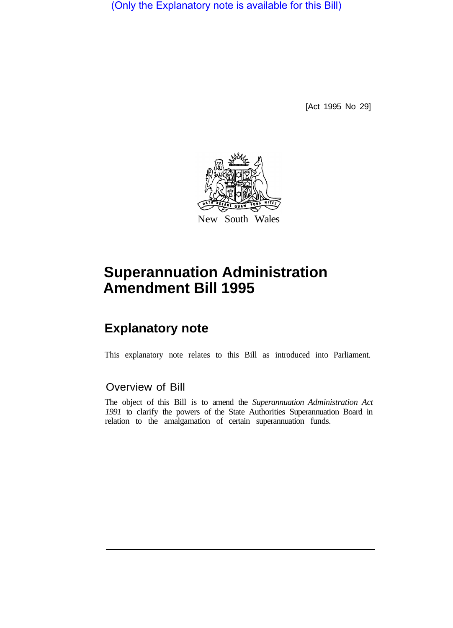(Only the Explanatory note is available for this Bill)

[Act 1995 No 29]



# **Superannuation Administration Amendment Bill 1995**

## **Explanatory note**

This explanatory note relates to this Bill as introduced into Parliament.

### Overview of Bill

The object of this Bill is to amend the *Superannuation Administration Act 1991* to clarify the powers of the State Authorities Superannuation Board in relation to the amalgamation of certain superannuation funds.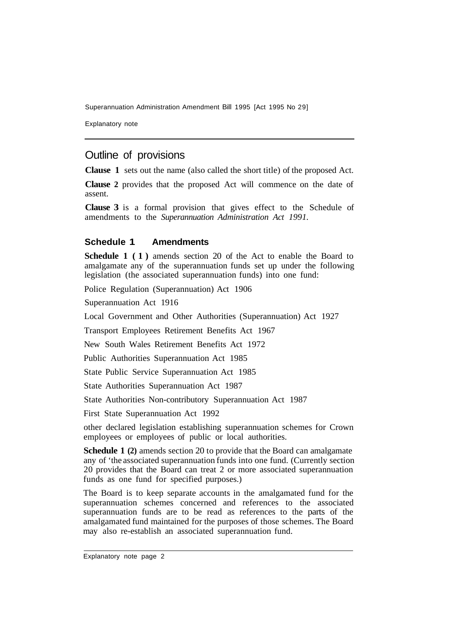Superannuation Administration Amendment Bill 1995 [Act 1995 No 29]

Explanatory note

#### Outline of provisions

**Clause 1** sets out the name (also called the short title) of the proposed Act.

**Clause 2** provides that the proposed Act will commence on the date of assent.

**Clause 3** is a formal provision that gives effect to the Schedule of amendments to the *Superannuation Administration Act 1991.* 

#### **Schedule 1 Amendments**

**Schedule 1 (1)** amends section 20 of the Act to enable the Board to amalgamate any of the superannuation funds set up under the following legislation (the associated superannuation funds) into one fund:

Police Regulation (Superannuation) Act 1906

Superannuation Act 1916

Local Government and Other Authorities (Superannuation) Act 1927

Transport Employees Retirement Benefits Act 1967

New South Wales Retirement Benefits Act 1972

Public Authorities Superannuation Act 1985

State Public Service Superannuation Act 1985

State Authorities Superannuation Act 1987

State Authorities Non-contributory Superannuation Act 1987

First State Superannuation Act 1992

other declared legislation establishing superannuation schemes for Crown employees or employees of public or local authorities.

**Schedule 1 (2)** amends section 20 to provide that the Board can amalgamate any of 'the associated superannuation funds into one fund. (Currently section 20 provides that the Board can treat 2 or more associated superannuation funds as one fund for specified purposes.)

The Board is to keep separate accounts in the amalgamated fund for the superannuation schemes concerned and references to the associated superannuation funds are to be read as references to the parts of the amalgamated fund maintained for the purposes of those schemes. The Board may also re-establish an associated superannuation fund.